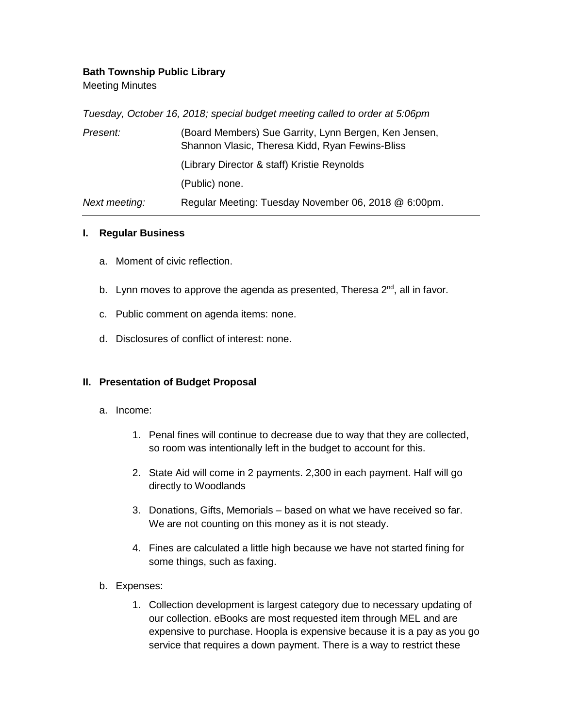## **Bath Township Public Library**

Meeting Minutes

*Tuesday, October 16, 2018; special budget meeting called to order at 5:06pm*

| Present:      | (Board Members) Sue Garrity, Lynn Bergen, Ken Jensen,<br>Shannon Vlasic, Theresa Kidd, Ryan Fewins-Bliss |
|---------------|----------------------------------------------------------------------------------------------------------|
|               | (Library Director & staff) Kristie Reynolds                                                              |
|               | (Public) none.                                                                                           |
| Next meeting: | Regular Meeting: Tuesday November 06, 2018 @ 6:00pm.                                                     |

## **I. Regular Business**

- a. Moment of civic reflection.
- b. Lynn moves to approve the agenda as presented, Theresa 2<sup>nd</sup>, all in favor.
- c. Public comment on agenda items: none.
- d. Disclosures of conflict of interest: none.

## **II. Presentation of Budget Proposal**

- a. Income:
	- 1. Penal fines will continue to decrease due to way that they are collected, so room was intentionally left in the budget to account for this.
	- 2. State Aid will come in 2 payments. 2,300 in each payment. Half will go directly to Woodlands
	- 3. Donations, Gifts, Memorials based on what we have received so far. We are not counting on this money as it is not steady.
	- 4. Fines are calculated a little high because we have not started fining for some things, such as faxing.
- b. Expenses:
	- 1. Collection development is largest category due to necessary updating of our collection. eBooks are most requested item through MEL and are expensive to purchase. Hoopla is expensive because it is a pay as you go service that requires a down payment. There is a way to restrict these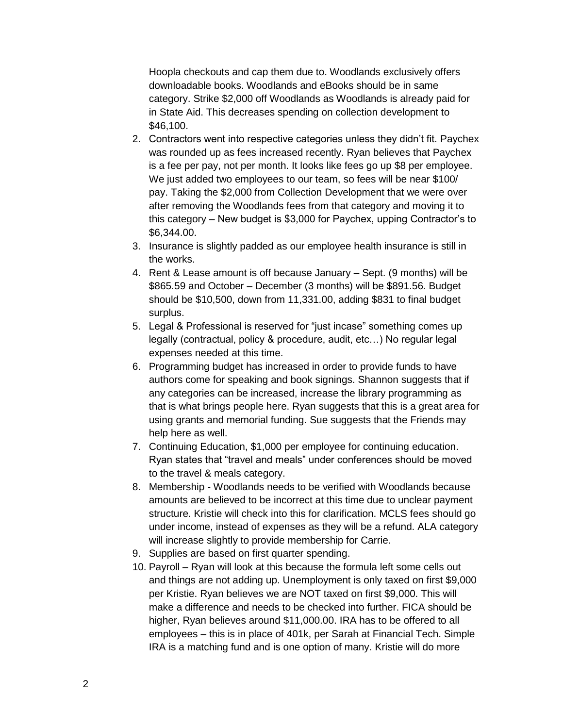Hoopla checkouts and cap them due to. Woodlands exclusively offers downloadable books. Woodlands and eBooks should be in same category. Strike \$2,000 off Woodlands as Woodlands is already paid for in State Aid. This decreases spending on collection development to \$46,100.

- 2. Contractors went into respective categories unless they didn't fit. Paychex was rounded up as fees increased recently. Ryan believes that Paychex is a fee per pay, not per month. It looks like fees go up \$8 per employee. We just added two employees to our team, so fees will be near \$100/ pay. Taking the \$2,000 from Collection Development that we were over after removing the Woodlands fees from that category and moving it to this category – New budget is \$3,000 for Paychex, upping Contractor's to \$6,344.00.
- 3. Insurance is slightly padded as our employee health insurance is still in the works.
- 4. Rent & Lease amount is off because January Sept. (9 months) will be \$865.59 and October – December (3 months) will be \$891.56. Budget should be \$10,500, down from 11,331.00, adding \$831 to final budget surplus.
- 5. Legal & Professional is reserved for "just incase" something comes up legally (contractual, policy & procedure, audit, etc…) No regular legal expenses needed at this time.
- 6. Programming budget has increased in order to provide funds to have authors come for speaking and book signings. Shannon suggests that if any categories can be increased, increase the library programming as that is what brings people here. Ryan suggests that this is a great area for using grants and memorial funding. Sue suggests that the Friends may help here as well.
- 7. Continuing Education, \$1,000 per employee for continuing education. Ryan states that "travel and meals" under conferences should be moved to the travel & meals category.
- 8. Membership Woodlands needs to be verified with Woodlands because amounts are believed to be incorrect at this time due to unclear payment structure. Kristie will check into this for clarification. MCLS fees should go under income, instead of expenses as they will be a refund. ALA category will increase slightly to provide membership for Carrie.
- 9. Supplies are based on first quarter spending.
- 10. Payroll Ryan will look at this because the formula left some cells out and things are not adding up. Unemployment is only taxed on first \$9,000 per Kristie. Ryan believes we are NOT taxed on first \$9,000. This will make a difference and needs to be checked into further. FICA should be higher, Ryan believes around \$11,000.00. IRA has to be offered to all employees – this is in place of 401k, per Sarah at Financial Tech. Simple IRA is a matching fund and is one option of many. Kristie will do more